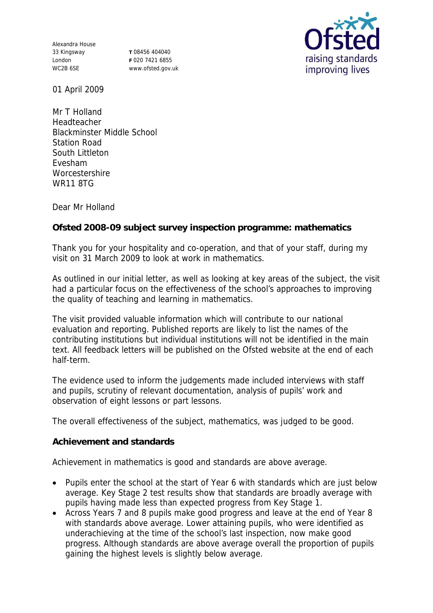Alexandra House 33 Kingsway London WC2B 6SE

**T** 08456 404040 **F** 020 7421 6855 www.ofsted.gov.uk



01 April 2009

Mr T Holland Headteacher Blackminster Middle School Station Road South Littleton Evesham **Worcestershire** WR11 8TG

Dear Mr Holland

**Ofsted 2008-09 subject survey inspection programme: mathematics**

Thank you for your hospitality and co-operation, and that of your staff, during my visit on 31 March 2009 to look at work in mathematics.

As outlined in our initial letter, as well as looking at key areas of the subject, the visit had a particular focus on the effectiveness of the school's approaches to improving the quality of teaching and learning in mathematics.

The visit provided valuable information which will contribute to our national evaluation and reporting. Published reports are likely to list the names of the contributing institutions but individual institutions will not be identified in the main text. All feedback letters will be published on the Ofsted website at the end of each half-term.

The evidence used to inform the judgements made included interviews with staff and pupils, scrutiny of relevant documentation, analysis of pupils' work and observation of eight lessons or part lessons.

The overall effectiveness of the subject, mathematics, was judged to be good.

**Achievement and standards**

Achievement in mathematics is good and standards are above average.

- Pupils enter the school at the start of Year 6 with standards which are just below average. Key Stage 2 test results show that standards are broadly average with pupils having made less than expected progress from Key Stage 1.
- Across Years 7 and 8 pupils make good progress and leave at the end of Year 8 with standards above average. Lower attaining pupils, who were identified as underachieving at the time of the school's last inspection, now make good progress. Although standards are above average overall the proportion of pupils gaining the highest levels is slightly below average.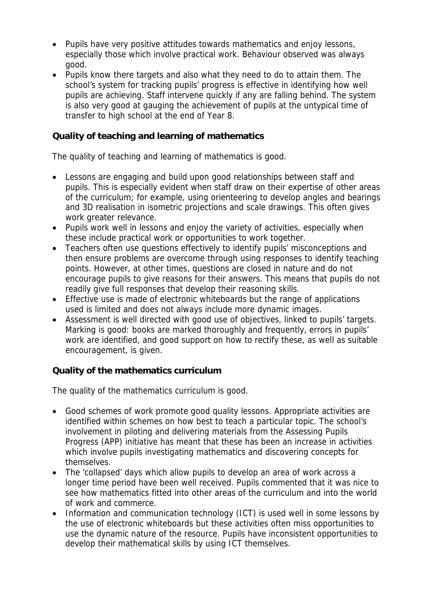- Pupils have very positive attitudes towards mathematics and enjoy lessons, especially those which involve practical work. Behaviour observed was always good.
- Pupils know there targets and also what they need to do to attain them. The school's system for tracking pupils' progress is effective in identifying how well pupils are achieving. Staff intervene quickly if any are falling behind. The system is also very good at gauging the achievement of pupils at the untypical time of transfer to high school at the end of Year 8.

## **Quality of teaching and learning of mathematics**

The quality of teaching and learning of mathematics is good.

- Lessons are engaging and build upon good relationships between staff and pupils. This is especially evident when staff draw on their expertise of other areas of the curriculum; for example, using orienteering to develop angles and bearings and 3D realisation in isometric projections and scale drawings. This often gives work greater relevance.
- Pupils work well in lessons and enjoy the variety of activities, especially when these include practical work or opportunities to work together.
- Teachers often use questions effectively to identify pupils' misconceptions and then ensure problems are overcome through using responses to identify teaching points. However, at other times, questions are closed in nature and do not encourage pupils to give reasons for their answers. This means that pupils do not readily give full responses that develop their reasoning skills.
- Effective use is made of electronic whiteboards but the range of applications used is limited and does not always include more dynamic images.
- Assessment is well directed with good use of objectives, linked to pupils' targets. Marking is good: books are marked thoroughly and frequently, errors in pupils' work are identified, and good support on how to rectify these, as well as suitable encouragement, is given.

**Quality of the mathematics curriculum**

The quality of the mathematics curriculum is good.

- Good schemes of work promote good quality lessons. Appropriate activities are identified within schemes on how best to teach a particular topic. The school's involvement in piloting and delivering materials from the Assessing Pupils Progress (APP) initiative has meant that these has been an increase in activities which involve pupils investigating mathematics and discovering concepts for themselves.
- The 'collapsed' days which allow pupils to develop an area of work across a longer time period have been well received. Pupils commented that it was nice to see how mathematics fitted into other areas of the curriculum and into the world of work and commerce.
- Information and communication technology (ICT) is used well in some lessons by the use of electronic whiteboards but these activities often miss opportunities to use the dynamic nature of the resource. Pupils have inconsistent opportunities to develop their mathematical skills by using ICT themselves.